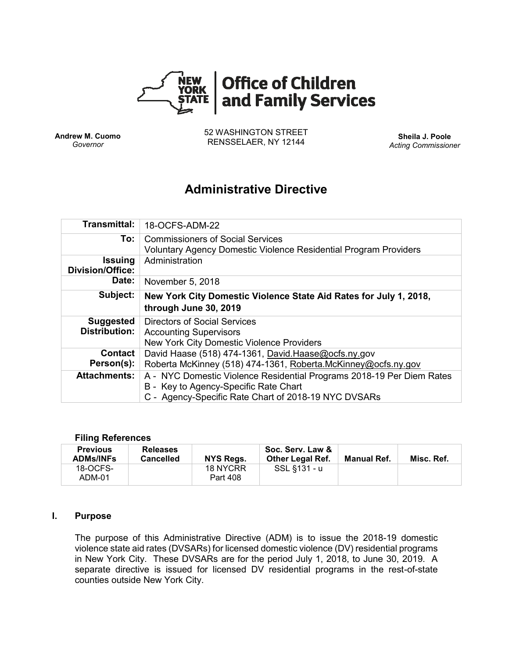

**Andrew M. Cuomo** *Governor*

52 WASHINGTON STREET RENSSELAER, NY 12144 **Sheila J. Poole**

*Acting Commissioner*

# **Administrative Directive**

| <b>Transmittal:</b>                       | 18-OCFS-ADM-22                                                                                                                                                         |
|-------------------------------------------|------------------------------------------------------------------------------------------------------------------------------------------------------------------------|
| To:                                       | <b>Commissioners of Social Services</b><br>Voluntary Agency Domestic Violence Residential Program Providers                                                            |
| <b>Issuing</b><br><b>Division/Office:</b> | Administration                                                                                                                                                         |
| Date:                                     | November 5, 2018                                                                                                                                                       |
| Subject:                                  | New York City Domestic Violence State Aid Rates for July 1, 2018,<br>through June 30, 2019                                                                             |
| <b>Suggested</b><br><b>Distribution:</b>  | Directors of Social Services<br><b>Accounting Supervisors</b><br>New York City Domestic Violence Providers                                                             |
| <b>Contact</b><br>Person(s):              | David Haase (518) 474-1361, David Haase@ocfs.ny.gov<br>Roberta McKinney (518) 474-1361, Roberta.McKinney@ocfs.ny.gov                                                   |
| <b>Attachments:</b>                       | A - NYC Domestic Violence Residential Programs 2018-19 Per Diem Rates<br>B - Key to Agency-Specific Rate Chart<br>C - Agency-Specific Rate Chart of 2018-19 NYC DVSARs |

#### **Filing References**

| <b>Previous</b><br><b>ADMs/INFs</b> | <b>Releases</b><br><b>Cancelled</b> | <b>NYS Regs.</b>     | Soc. Serv. Law &<br><b>Other Legal Ref.</b> | Manual Ref. | Misc. Ref. |
|-------------------------------------|-------------------------------------|----------------------|---------------------------------------------|-------------|------------|
| 18-OCFS-<br>ADM-01                  |                                     | 18 NYCRR<br>Part 408 | SSL §131 - u                                |             |            |

#### **I. Purpose**

The purpose of this Administrative Directive (ADM) is to issue the 2018-19 domestic violence state aid rates (DVSARs) for licensed domestic violence (DV) residential programs in New York City. These DVSARs are for the period July 1, 2018, to June 30, 2019. A separate directive is issued for licensed DV residential programs in the rest-of-state counties outside New York City.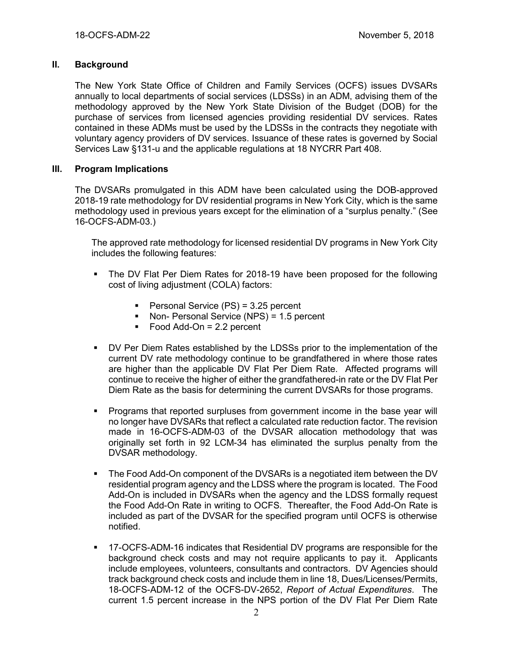## **II. Background**

The New York State Office of Children and Family Services (OCFS) issues DVSARs annually to local departments of social services (LDSSs) in an ADM, advising them of the methodology approved by the New York State Division of the Budget (DOB) for the purchase of services from licensed agencies providing residential DV services. Rates contained in these ADMs must be used by the LDSSs in the contracts they negotiate with voluntary agency providers of DV services. Issuance of these rates is governed by Social Services Law §131-u and the applicable regulations at 18 NYCRR Part 408.

## **III. Program Implications**

The DVSARs promulgated in this ADM have been calculated using the DOB-approved 2018-19 rate methodology for DV residential programs in New York City, which is the same methodology used in previous years except for the elimination of a "surplus penalty." (See 16-OCFS-ADM-03.)

The approved rate methodology for licensed residential DV programs in New York City includes the following features:

- **•** The DV Flat Per Diem Rates for 2018-19 have been proposed for the following cost of living adjustment (COLA) factors:
	- Personal Service (PS) = 3.25 percent
	- Non- Personal Service (NPS) = 1.5 percent
	- $\blacksquare$  Food Add-On = 2.2 percent
- DV Per Diem Rates established by the LDSSs prior to the implementation of the current DV rate methodology continue to be grandfathered in where those rates are higher than the applicable DV Flat Per Diem Rate. Affected programs will continue to receive the higher of either the grandfathered-in rate or the DV Flat Per Diem Rate as the basis for determining the current DVSARs for those programs.
- Programs that reported surpluses from government income in the base year will no longer have DVSARs that reflect a calculated rate reduction factor. The revision made in 16-OCFS-ADM-03 of the DVSAR allocation methodology that was originally set forth in 92 LCM-34 has eliminated the surplus penalty from the DVSAR methodology.
- The Food Add-On component of the DVSARs is a negotiated item between the DV residential program agency and the LDSS where the program is located. The Food Add-On is included in DVSARs when the agency and the LDSS formally request the Food Add-On Rate in writing to OCFS. Thereafter, the Food Add-On Rate is included as part of the DVSAR for the specified program until OCFS is otherwise notified.
- 17-OCFS-ADM-16 indicates that Residential DV programs are responsible for the background check costs and may not require applicants to pay it. Applicants include employees, volunteers, consultants and contractors. DV Agencies should track background check costs and include them in line 18, Dues/Licenses/Permits, 18-OCFS-ADM-12 of the OCFS-DV-2652, *Report of Actual Expenditures*. The current 1.5 percent increase in the NPS portion of the DV Flat Per Diem Rate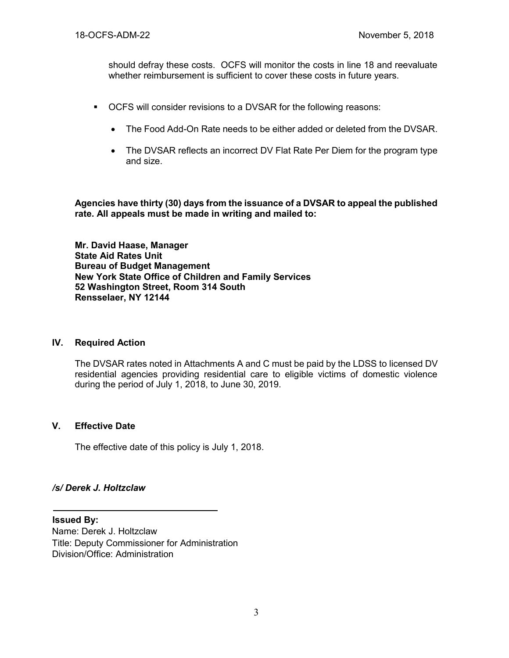should defray these costs. OCFS will monitor the costs in line 18 and reevaluate whether reimbursement is sufficient to cover these costs in future years.

- OCFS will consider revisions to a DVSAR for the following reasons:
	- The Food Add-On Rate needs to be either added or deleted from the DVSAR.
	- The DVSAR reflects an incorrect DV Flat Rate Per Diem for the program type and size.

**Agencies have thirty (30) days from the issuance of a DVSAR to appeal the published rate. All appeals must be made in writing and mailed to:**

**Mr. David Haase, Manager State Aid Rates Unit Bureau of Budget Management New York State Office of Children and Family Services 52 Washington Street, Room 314 South Rensselaer, NY 12144**

#### **IV. Required Action**

The DVSAR rates noted in Attachments A and C must be paid by the LDSS to licensed DV residential agencies providing residential care to eligible victims of domestic violence during the period of July 1, 2018, to June 30, 2019.

#### **V. Effective Date**

The effective date of this policy is July 1, 2018.

#### */s/ Derek J. Holtzclaw*

**Issued By:** Name: Derek J. Holtzclaw Title: Deputy Commissioner for Administration Division/Office: Administration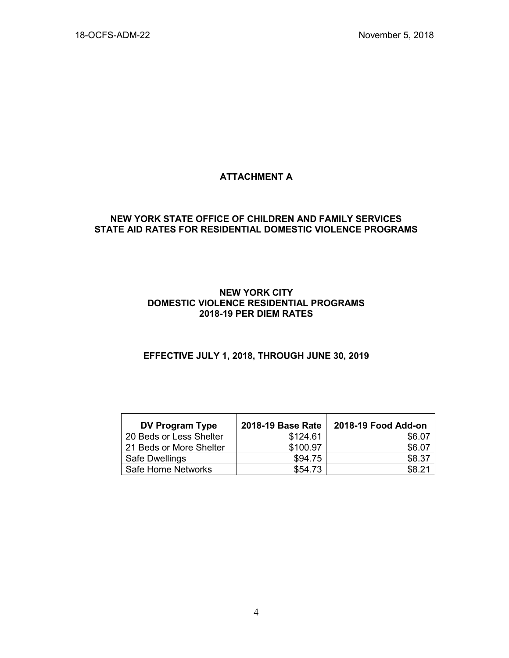# **ATTACHMENT A**

## **NEW YORK STATE OFFICE OF CHILDREN AND FAMILY SERVICES STATE AID RATES FOR RESIDENTIAL DOMESTIC VIOLENCE PROGRAMS**

#### **NEW YORK CITY DOMESTIC VIOLENCE RESIDENTIAL PROGRAMS 2018-19 PER DIEM RATES**

# **EFFECTIVE JULY 1, 2018, THROUGH JUNE 30, 2019**

| <b>DV Program Type</b>  | 2018-19 Base Rate | 2018-19 Food Add-on |
|-------------------------|-------------------|---------------------|
| 20 Beds or Less Shelter | \$124.61          | \$6.07              |
| 21 Beds or More Shelter | \$100.97          | \$6.07              |
| Safe Dwellings          | \$94.75           | \$8.37              |
| Safe Home Networks      | \$54.73           | \$821               |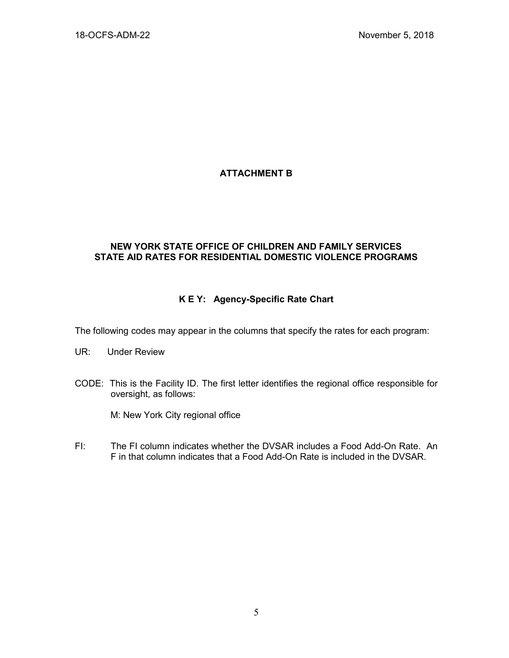# **ATTACHMENT B**

# **NEW YORK STATE OFFICE OF CHILDREN AND FAMILY SERVICES STATE AID RATES FOR RESIDENTIAL DOMESTIC VIOLENCE PROGRAMS**

# **K E Y: Agency-Specific Rate Chart**

The following codes may appear in the columns that specify the rates for each program:

- UR: Under Review
- CODE: This is the Facility ID. The first letter identifies the regional office responsible for oversight, as follows:

M: New York City regional office

FI: The FI column indicates whether the DVSAR includes a Food Add-On Rate. An F in that column indicates that a Food Add-On Rate is included in the DVSAR.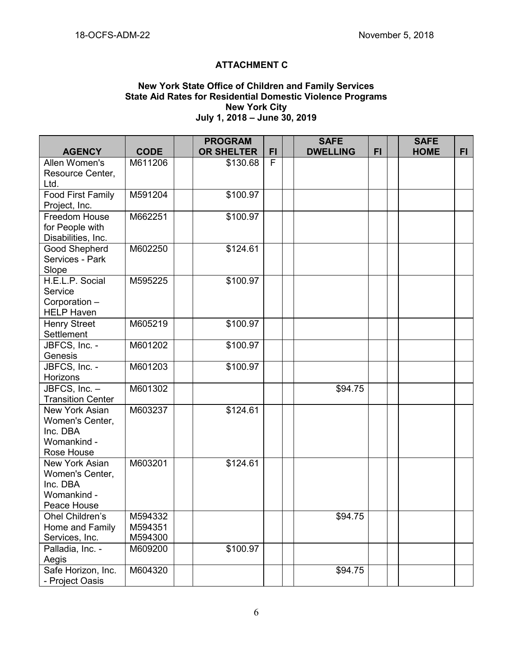# **ATTACHMENT C**

#### **New York State Office of Children and Family Services State Aid Rates for Residential Domestic Violence Programs New York City July 1, 2018 – June 30, 2019**

|                             |             | <b>PROGRAM</b>    |    | <b>SAFE</b>     |           | <b>SAFE</b> |     |
|-----------------------------|-------------|-------------------|----|-----------------|-----------|-------------|-----|
| <b>AGENCY</b>               | <b>CODE</b> | <b>OR SHELTER</b> | FI | <b>DWELLING</b> | <b>FI</b> | <b>HOME</b> | FI. |
| Allen Women's               | M611206     | \$130.68          | F  |                 |           |             |     |
| Resource Center,            |             |                   |    |                 |           |             |     |
| Ltd.                        |             |                   |    |                 |           |             |     |
| <b>Food First Family</b>    | M591204     | \$100.97          |    |                 |           |             |     |
| Project, Inc.               |             |                   |    |                 |           |             |     |
| Freedom House               | M662251     | \$100.97          |    |                 |           |             |     |
| for People with             |             |                   |    |                 |           |             |     |
| Disabilities, Inc.          |             |                   |    |                 |           |             |     |
| <b>Good Shepherd</b>        | M602250     | \$124.61          |    |                 |           |             |     |
| Services - Park             |             |                   |    |                 |           |             |     |
| Slope                       |             |                   |    |                 |           |             |     |
| H.E.L.P. Social             | M595225     | \$100.97          |    |                 |           |             |     |
| Service                     |             |                   |    |                 |           |             |     |
| Corporation -               |             |                   |    |                 |           |             |     |
| <b>HELP Haven</b>           |             |                   |    |                 |           |             |     |
| <b>Henry Street</b>         | M605219     | \$100.97          |    |                 |           |             |     |
| Settlement                  |             |                   |    |                 |           |             |     |
| JBFCS, Inc. -               | M601202     | \$100.97          |    |                 |           |             |     |
| Genesis                     |             |                   |    |                 |           |             |     |
| JBFCS, Inc. -               | M601203     | \$100.97          |    |                 |           |             |     |
| Horizons                    |             |                   |    |                 |           |             |     |
| JBFCS, Inc. -               | M601302     |                   |    | \$94.75         |           |             |     |
| <b>Transition Center</b>    |             |                   |    |                 |           |             |     |
| New York Asian              | M603237     | \$124.61          |    |                 |           |             |     |
| Women's Center,<br>Inc. DBA |             |                   |    |                 |           |             |     |
| Womankind -                 |             |                   |    |                 |           |             |     |
| Rose House                  |             |                   |    |                 |           |             |     |
| New York Asian              | M603201     | \$124.61          |    |                 |           |             |     |
| Women's Center,             |             |                   |    |                 |           |             |     |
| Inc. DBA                    |             |                   |    |                 |           |             |     |
| Womankind -                 |             |                   |    |                 |           |             |     |
| Peace House                 |             |                   |    |                 |           |             |     |
| Ohel Children's             | M594332     |                   |    | \$94.75         |           |             |     |
| Home and Family             | M594351     |                   |    |                 |           |             |     |
| Services, Inc.              | M594300     |                   |    |                 |           |             |     |
| Palladia, Inc. -            | M609200     | \$100.97          |    |                 |           |             |     |
| Aegis                       |             |                   |    |                 |           |             |     |
| Safe Horizon, Inc.          | M604320     |                   |    | \$94.75         |           |             |     |
| - Project Oasis             |             |                   |    |                 |           |             |     |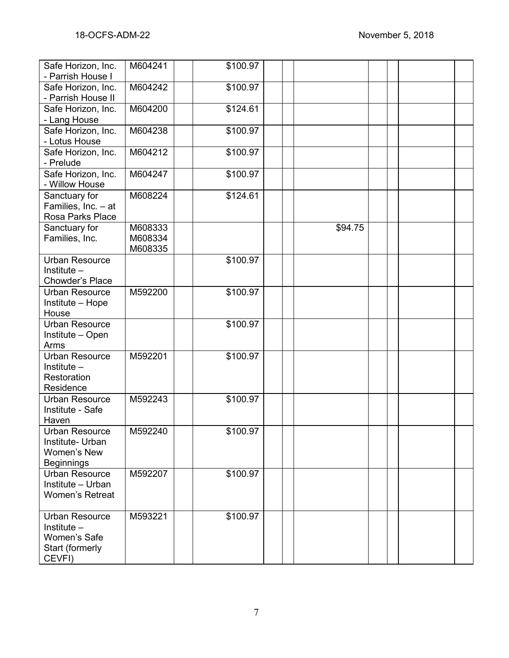| Safe Horizon, Inc.<br>- Parrish House I                                             | M604241                       | \$100.97         |         |  |  |
|-------------------------------------------------------------------------------------|-------------------------------|------------------|---------|--|--|
| Safe Horizon, Inc.<br>- Parrish House II                                            | M604242                       | \$100.97         |         |  |  |
| Safe Horizon, Inc.<br>- Lang House                                                  | M604200                       | \$124.61         |         |  |  |
| Safe Horizon, Inc.<br>- Lotus House                                                 | M604238                       | \$100.97         |         |  |  |
| Safe Horizon, Inc.<br>- Prelude                                                     | M604212                       | \$100.97         |         |  |  |
| Safe Horizon, Inc.<br>- Willow House                                                | M604247                       | \$100.97         |         |  |  |
| Sanctuary for<br>Families, Inc. - at<br>Rosa Parks Place                            | M608224                       | \$124.61         |         |  |  |
| Sanctuary for<br>Families, Inc.                                                     | M608333<br>M608334<br>M608335 |                  | \$94.75 |  |  |
| <b>Urban Resource</b><br>Institute $-$<br>Chowder's Place                           |                               | \$100.97         |         |  |  |
| Urban Resource<br>Institute - Hope<br>House                                         | M592200                       | \$100.97         |         |  |  |
| <b>Urban Resource</b><br>Institute - Open<br>Arms                                   |                               | \$100.97         |         |  |  |
| <b>Urban Resource</b><br>Institute $-$<br>Restoration<br>Residence                  | M592201                       | \$100.97         |         |  |  |
| <b>Urban Resource</b><br>Institute - Safe<br>Haven                                  | M592243                       | \$100.97         |         |  |  |
| Urban Resource<br>Institute- Urban<br>Women's New<br><b>Beginnings</b>              | M592240                       | $\sqrt{$100.97}$ |         |  |  |
| Urban Resource<br>Institute - Urban<br>Women's Retreat                              | M592207                       | \$100.97         |         |  |  |
| <b>Urban Resource</b><br>Institute $-$<br>Women's Safe<br>Start (formerly<br>CEVFI) | M593221                       | \$100.97         |         |  |  |